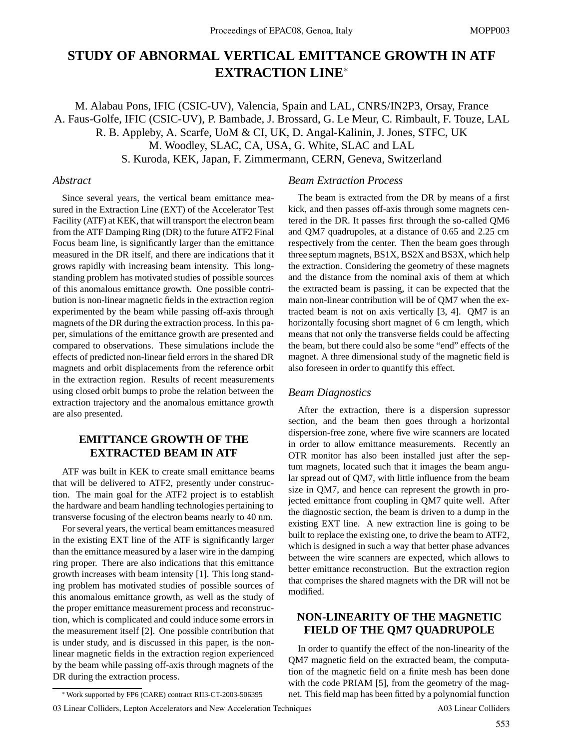# **STUDY OF ABNORMAL VERTICAL EMITTANCE GROWTH IN ATF EXTRACTION LINE**<sup>∗</sup>

M. Alabau Pons, IFIC (CSIC-UV), Valencia, Spain and LAL, CNRS/IN2P3, Orsay, France A. Faus-Golfe, IFIC (CSIC-UV), P. Bambade, J. Brossard, G. Le Meur, C. Rimbault, F. Touze, LAL R. B. Appleby, A. Scarfe, UoM & CI, UK, D. Angal-Kalinin, J. Jones, STFC, UK M. Woodley, SLAC, CA, USA, G. White, SLAC and LAL S. Kuroda, KEK, Japan, F. Zimmermann, CERN, Geneva, Switzerland

### *Abstract*

Since several years, the vertical beam emittance measured in the Extraction Line (EXT) of the Accelerator Test Facility (ATF) at KEK, that will transport the electron beam from the ATF Damping Ring (DR) to the future ATF2 Final Focus beam line, is significantly larger than the emittance measured in the DR itself, and there are indications that it grows rapidly with increasing beam intensity. This longstanding problem has motivated studies of possible sources of this anomalous emittance growth. One possible contribution is non-linear magnetic fields in the extraction region experimented by the beam while passing off-axis through magnets of the DR during the extraction process. In this paper, simulations of the emittance growth are presented and compared to observations. These simulations include the effects of predicted non-linear field errors in the shared DR magnets and orbit displacements from the reference orbit in the extraction region. Results of recent measurements using closed orbit bumps to probe the relation between the extraction trajectory and the anomalous emittance growth are also presented.

# **EMITTANCE GROWTH OF THE EXTRACTED BEAM IN ATF**

ATF was built in KEK to create small emittance beams that will be delivered to ATF2, presently under construction. The main goal for the ATF2 project is to establish the hardware and beam handling technologies pertaining to transverse focusing of the electron beams nearly to 40 nm.

For several years, the vertical beam emittances measured in the existing EXT line of the ATF is significantly larger than the emittance measured by a laser wire in the damping ring proper. There are also indications that this emittance growth increases with beam intensity [1]. This long standing problem has motivated studies of possible sources of this anomalous emittance growth, as well as the study of the proper emittance measurement process and reconstruction, which is complicated and could induce some errors in the measurement itself [2]. One possible contribution that is under study, and is discussed in this paper, is the nonlinear magnetic fields in the extraction region experienced by the beam while passing off-axis through magnets of the DR during the extraction process.

### *Beam Extraction Process*

The beam is extracted from the DR by means of a first kick, and then passes off-axis through some magnets centered in the DR. It passes first through the so-called QM6 and QM7 quadrupoles, at a distance of 0.65 and 2.25 cm respectively from the center. Then the beam goes through three septum magnets, BS1X, BS2X and BS3X, which help the extraction. Considering the geometry of these magnets and the distance from the nominal axis of them at which the extracted beam is passing, it can be expected that the main non-linear contribution will be of QM7 when the extracted beam is not on axis vertically [3, 4]. QM7 is an horizontally focusing short magnet of 6 cm length, which means that not only the transverse fields could be affecting the beam, but there could also be some "end" effects of the magnet. A three dimensional study of the magnetic field is also foreseen in order to quantify this effect.

#### *Beam Diagnostics*

After the extraction, there is a dispersion supressor section, and the beam then goes through a horizontal dispersion-free zone, where five wire scanners are located in order to allow emittance measurements. Recently an OTR monitor has also been installed just after the septum magnets, located such that it images the beam angular spread out of QM7, with little influence from the beam size in QM7, and hence can represent the growth in projected emittance from coupling in QM7 quite well. After the diagnostic section, the beam is driven to a dump in the existing EXT line. A new extraction line is going to be built to replace the existing one, to drive the beam to ATF2, which is designed in such a way that better phase advances between the wire scanners are expected, which allows to better emittance reconstruction. But the extraction region that comprises the shared magnets with the DR will not be modified.

## **NON-LINEARITY OF THE MAGNETIC FIELD OF THE QM7 QUADRUPOLE**

In order to quantify the effect of the non-linearity of the QM7 magnetic field on the extracted beam, the computation of the magnetic field on a finite mesh has been done with the code PRIAM [5], from the geometry of the magnet. This field map has been fitted by a polynomial function

03 Linear Colliders, Lepton Accelerators and New Acceleration Techniques A03 Linear Colliders

<sup>∗</sup>Work supported by FP6 (CARE) contract RII3-CT-2003-506395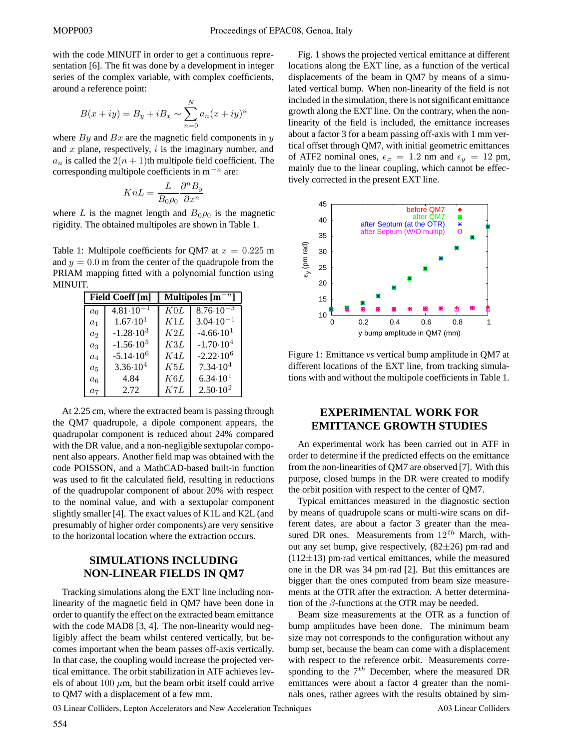with the code MINUIT in order to get a continuous representation [6]. The fit was done by a development in integer series of the complex variable, with complex coefficients, around a reference point:

$$
B(x+iy) = B_y + iB_x \sim \sum_{n=0}^{N} a_n (x+iy)^n
$$

where  $By$  and  $Bx$  are the magnetic field components in y and  $x$  plane, respectively,  $i$  is the imaginary number, and  $a_n$  is called the  $2(n + 1)$ th multipole field coefficient. The corresponding multipole coefficients in m<sup> $-n$ </sup> are:

$$
KnL = \frac{L}{B_0\rho_0} \frac{\partial^n B_y}{\partial x^n}
$$

where L is the magnet length and  $B_0 \rho_0$  is the magnetic rigidity. The obtained multipoles are shown in Table 1.

Table 1: Multipole coefficients for QM7 at  $x = 0.225$  m and  $y = 0.0$  m from the center of the quadrupole from the PRIAM mapping fitted with a polynomial function using MINUIT.

| <b>Field Coeff</b> [m] |                      | Multipoles $[m^{-n}]$ |                      |
|------------------------|----------------------|-----------------------|----------------------|
| $a_0$                  | $4.81 \cdot 10^{-1}$ | K0L                   | $8.76 \cdot 10^{-3}$ |
| a <sub>1</sub>         | $1.67 \cdot 10^{1}$  | K1L                   | $3.04 \cdot 10^{-1}$ |
| a <sub>2</sub>         | $-1.28 \cdot 10^3$   | K2L                   | $-4.66 \cdot 10^{1}$ |
| $a_3$                  | $-1.56 \cdot 10^5$   | K3L                   | $-1.70 \cdot 10^{4}$ |
| $a_4$                  | $-5.14 \cdot 10^6$   | K4L                   | $-2.22 \cdot 10^6$   |
| $a_5$                  | $3.36 \cdot 10^{4}$  | K5L                   | $7.34 \cdot 10^{4}$  |
| a <sub>6</sub>         | 4.84                 | K6L                   | $6.34 \cdot 10^{1}$  |
| $a_7$                  | 2.72                 | K7L                   | $2.50 \cdot 10^{2}$  |

At 2.25 cm, where the extracted beam is passing through the QM7 quadrupole, a dipole component appears, the quadrupolar component is reduced about 24% compared with the DR value, and a non-negligible sextupolar component also appears. Another field map was obtained with the code POISSON, and a MathCAD-based built-in function was used to fit the calculated field, resulting in reductions of the quadrupolar component of about 20% with respect to the nominal value, and with a sextupolar component slightly smaller [4]. The exact values of K1L and K2L (and presumably of higher order components) are very sensitive to the horizontal location where the extraction occurs.

# **SIMULATIONS INCLUDING NON-LINEAR FIELDS IN QM7**

Tracking simulations along the EXT line including nonlinearity of the magnetic field in QM7 have been done in order to quantify the effect on the extracted beam emittance with the code MAD8 [3, 4]. The non-linearity would negligibly affect the beam whilst centered vertically, but becomes important when the beam passes off-axis vertically. In that case, the coupling would increase the projected vertical emittance. The orbit stabilization in ATF achieves levels of about  $100 \mu m$ , but the beam orbit itself could arrive to QM7 with a displacement of a few mm.

Fig. 1 shows the projected vertical emittance at different locations along the EXT line, as a function of the vertical displacements of the beam in QM7 by means of a simulated vertical bump. When non-linearity of the field is not included in the simulation, there is not significant emittance growth along the EXT line. On the contrary, when the nonlinearity of the field is included, the emittance increases about a factor 3 for a beam passing off-axis with 1 mm vertical offset through QM7, with initial geometric emittances of ATF2 nominal ones,  $\epsilon_x = 1.2$  nm and  $\epsilon_y = 12$  pm, mainly due to the linear coupling, which cannot be effectively corrected in the present EXT line.



Figure 1: Emittance *vs* vertical bump amplitude in QM7 at different locations of the EXT line, from tracking simulations with and without the multipole coefficients in Table 1.

# **EXPERIMENTAL WORK FOR EMITTANCE GROWTH STUDIES**

An experimental work has been carried out in ATF in order to determine if the predicted effects on the emittance from the non-linearities of QM7 are observed [7]. With this purpose, closed bumps in the DR were created to modify the orbit position with respect to the center of QM7.

Typical emittances measured in the diagnostic section by means of quadrupole scans or multi-wire scans on different dates, are about a factor 3 greater than the measured DR ones. Measurements from  $12^{th}$  March, without any set bump, give respectively,  $(82\pm 26)$  pm·rad and  $(112\pm13)$  pm·rad vertical emittances, while the measured one in the DR was 34 pm·rad [2]. But this emittances are bigger than the ones computed from beam size measurements at the OTR after the extraction. A better determination of the  $\beta$ -functions at the OTR may be needed.

Beam size measurements at the OTR as a function of bump amplitudes have been done. The minimum beam size may not corresponds to the configuration without any bump set, because the beam can come with a displacement with respect to the reference orbit. Measurements corresponding to the  $7<sup>th</sup>$  December, where the measured DR emittances were about a factor 4 greater than the nominals ones, rather agrees with the results obtained by sim-

03 Linear Colliders, Lepton Accelerators and New Acceleration Techniques